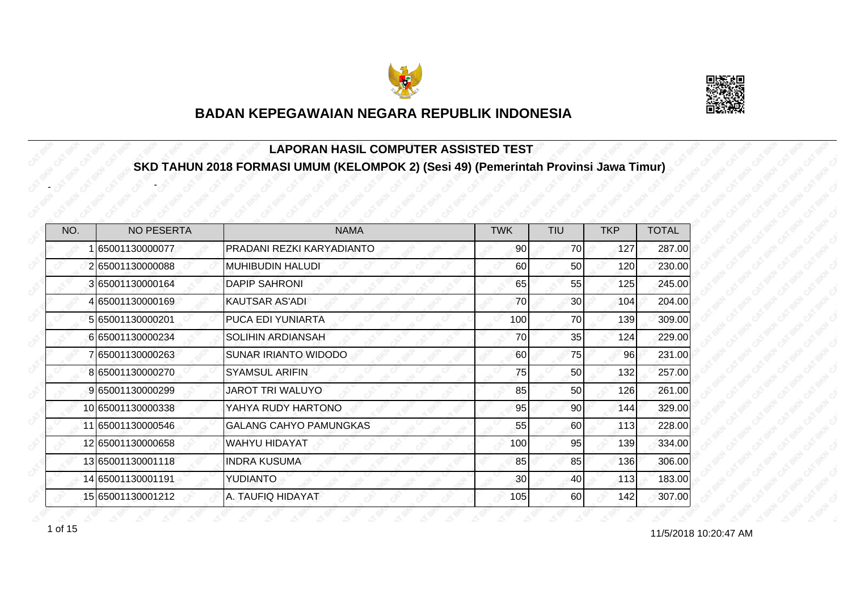



#### **LAPORAN HASIL COMPUTER ASSISTED TEST SKD TAHUN 2018 FORMASI UMUM (KELOMPOK 2) (Sesi 49) (Pemerintah Provinsi Jawa Timur)**

| NO. | <b>NO PESERTA</b> | <b>NAMA</b>                   | <b>TWK</b>      | <b>TIU</b> | <b>TKP</b> | <b>TOTAL</b> |
|-----|-------------------|-------------------------------|-----------------|------------|------------|--------------|
|     | 65001130000077    | PRADANI REZKI KARYADIANTO     | 90 <sub>0</sub> | 70         | 127        | 287.00       |
|     | 265001130000088   | <b>MUHIBUDIN HALUDI</b>       | 60              | 50         | 120        | 230.00       |
|     | 365001130000164   | <b>DAPIP SAHRONI</b>          | 65              | 55         | 125        | 245.00       |
|     | 65001130000169    | <b>KAUTSAR AS'ADI</b>         | 70              | 30         | 104        | 204.00       |
|     | 5 65001130000201  | PUCA EDI YUNIARTA             | 100             | 70         | 139        | 309.00       |
|     | 665001130000234   | <b>SOLIHIN ARDIANSAH</b>      | 70              | 35         | 124        | 229.00       |
|     | 65001130000263    | SUNAR IRIANTO WIDODO          | 60              | 75         | 96         | 231.00       |
|     | 8 65001130000270  | <b>SYAMSUL ARIFIN</b>         | 75              | 50         | 132        | 257.00       |
|     | 965001130000299   | <b>JAROT TRI WALUYO</b>       | 85              | 50         | 126        | 261.00       |
|     | 10 65001130000338 | YAHYA RUDY HARTONO            | 95              | 90         | 144        | 329.00       |
|     | 11 65001130000546 | <b>GALANG CAHYO PAMUNGKAS</b> | 55              | 60         | 113        | 228.00       |
|     | 12 65001130000658 | <b>WAHYU HIDAYAT</b>          | 100             | 95         | 139        | 334.00       |
|     | 13 65001130001118 | <b>INDRA KUSUMA</b>           | 85              | 85         | 136        | 306.00       |
|     | 14 65001130001191 | <b>YUDIANTO</b>               | 30 <sub>l</sub> | 40         | 113        | 183.00       |
|     | 15 65001130001212 | A. TAUFIQ HIDAYAT             | 105             | 60         | 142        | 307.00       |

-

-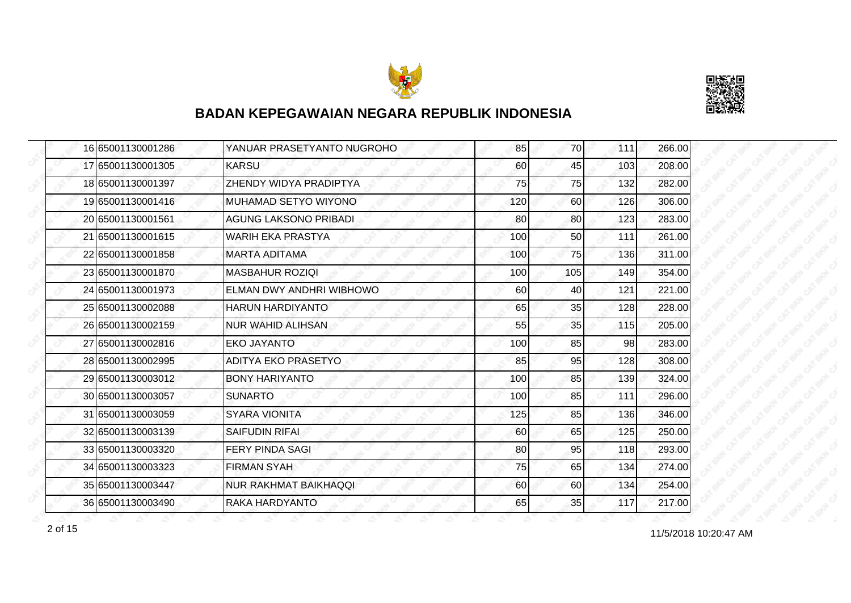



|  | 16 65001130001286 | YANUAR PRASETYANTO NUGROHO   | 85  | 70  | 111 | 266.00 |
|--|-------------------|------------------------------|-----|-----|-----|--------|
|  | 17 65001130001305 | <b>KARSU</b>                 | 60  | 45  | 103 | 208.00 |
|  | 18 65001130001397 | ZHENDY WIDYA PRADIPTYA       | 75  | 75  | 132 | 282.00 |
|  | 19 65001130001416 | MUHAMAD SETYO WIYONO         | 120 | 60  | 126 | 306.00 |
|  | 20 65001130001561 | <b>AGUNG LAKSONO PRIBADI</b> | 80  | 80  | 123 | 283.00 |
|  | 21 65001130001615 | <b>WARIH EKA PRASTYA</b>     | 100 | 50  | 111 | 261.00 |
|  | 22 65001130001858 | <b>MARTA ADITAMA</b>         | 100 | 75  | 136 | 311.00 |
|  | 23 65001130001870 | <b>MASBAHUR ROZIQI</b>       | 100 | 105 | 149 | 354.00 |
|  | 24 65001130001973 | ELMAN DWY ANDHRI WIBHOWO     | 60  | 40  | 121 | 221.00 |
|  | 25 65001130002088 | <b>HARUN HARDIYANTO</b>      | 65  | 35  | 128 | 228.00 |
|  | 26 65001130002159 | <b>NUR WAHID ALIHSAN</b>     | 55  | 35  | 115 | 205.00 |
|  | 27 65001130002816 | EKO JAYANTO                  | 100 | 85  | 98  | 283.00 |
|  | 28 65001130002995 | <b>ADITYA EKO PRASETYO</b>   | 85  | 95  | 128 | 308.00 |
|  | 29 65001130003012 | <b>BONY HARIYANTO</b>        | 100 | 85  | 139 | 324.00 |
|  | 30 65001130003057 | <b>SUNARTO</b>               | 100 | 85  | 111 | 296.00 |
|  | 31 65001130003059 | <b>SYARA VIONITA</b>         | 125 | 85  | 136 | 346.00 |
|  | 32 65001130003139 | <b>SAIFUDIN RIFAI</b>        | 60  | 65  | 125 | 250.00 |
|  | 33 65001130003320 | <b>FERY PINDA SAGI</b>       | 80  | 95  | 118 | 293.00 |
|  | 34 65001130003323 | <b>FIRMAN SYAH</b>           | 75  | 65  | 134 | 274.00 |
|  | 35 65001130003447 | <b>NUR RAKHMAT BAIKHAQQI</b> | 60  | 60  | 134 | 254.00 |
|  | 36 65001130003490 | RAKA HARDYANTO               | 65  | 35  | 117 | 217.00 |

11/5/2018 10:20:47 AM 2 of 15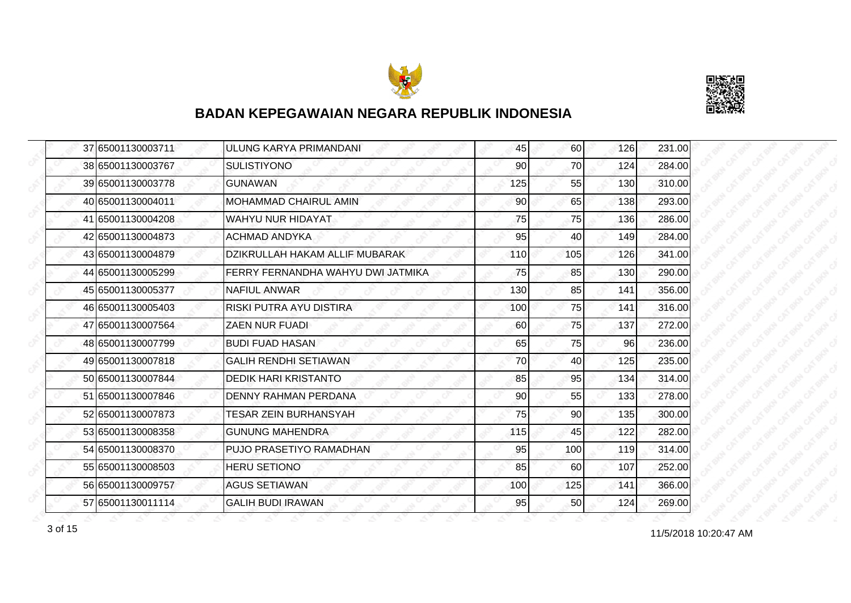



| 37 65001130003711 | ULUNG KARYA PRIMANDANI            | 45              | 60  | 126 | 231.00 |
|-------------------|-----------------------------------|-----------------|-----|-----|--------|
| 38 65001130003767 | <b>SULISTIYONO</b>                | 90              | 70  | 124 | 284.00 |
| 39 65001130003778 | <b>GUNAWAN</b>                    | 125             | 55  | 130 | 310.00 |
| 40 65001130004011 | <b>MOHAMMAD CHAIRUL AMIN</b>      | 90 <sub>l</sub> | 65  | 138 | 293.00 |
| 41 65001130004208 | <b>WAHYU NUR HIDAYAT</b>          | 75              | 75  | 136 | 286.00 |
| 42 65001130004873 | <b>ACHMAD ANDYKA</b>              | 95              | 40  | 149 | 284.00 |
| 43 65001130004879 | DZIKRULLAH HAKAM ALLIF MUBARAK    | 110             | 105 | 126 | 341.00 |
| 44 65001130005299 | FERRY FERNANDHA WAHYU DWI JATMIKA | 75              | 85  | 130 | 290.00 |
| 45 65001130005377 | <b>NAFIUL ANWAR</b>               | 130             | 85  | 141 | 356.00 |
| 46 65001130005403 | RISKI PUTRA AYU DISTIRA           | 100             | 75  | 141 | 316.00 |
| 47 65001130007564 | <b>ZAEN NUR FUADI</b>             | 60              | 75  | 137 | 272.00 |
| 48 65001130007799 | <b>BUDI FUAD HASAN</b>            | 65              | 75  | 96  | 236.00 |
| 49 65001130007818 | <b>GALIH RENDHI SETIAWAN</b>      | 70              | 40  | 125 | 235.00 |
| 50 65001130007844 | <b>DEDIK HARI KRISTANTO</b>       | 85              | 95  | 134 | 314.00 |
| 51 65001130007846 | <b>DENNY RAHMAN PERDANA</b>       | 90              | 55  | 133 | 278.00 |
| 52 65001130007873 | <b>TESAR ZEIN BURHANSYAH</b>      | 75              | 90  | 135 | 300.00 |
| 53 65001130008358 | <b>GUNUNG MAHENDRA</b>            | 115             | 45  | 122 | 282.00 |
| 54 65001130008370 | PUJO PRASETIYO RAMADHAN           | 95              | 100 | 119 | 314.00 |
| 55 65001130008503 | <b>HERU SETIONO</b>               | 85              | 60  | 107 | 252.00 |
| 56 65001130009757 | <b>AGUS SETIAWAN</b>              | 100             | 125 | 141 | 366.00 |
| 57 65001130011114 | <b>GALIH BUDI IRAWAN</b>          | 95              | 50  | 124 | 269.00 |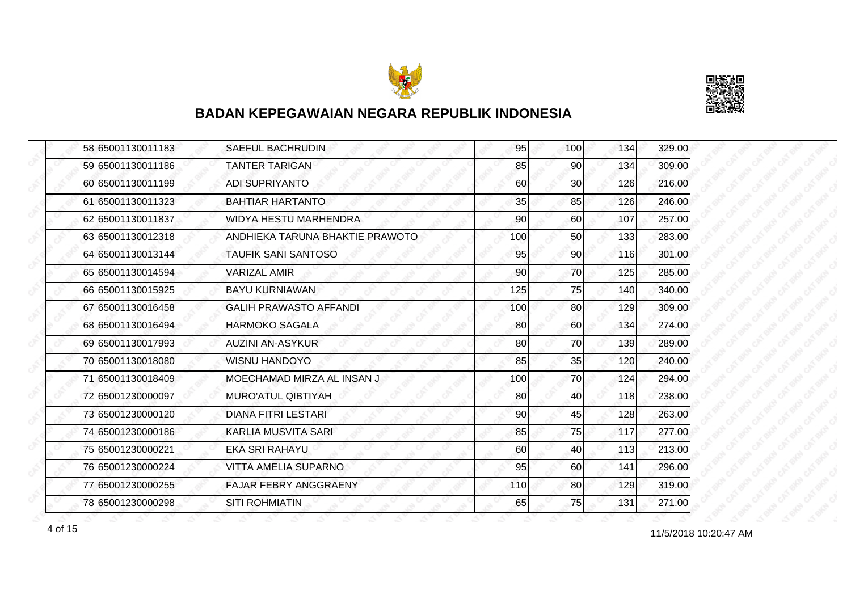



|  | 58 65001130011183 | <b>SAEFUL BACHRUDIN</b>         | 95  | 100 <sub>l</sub> | 134 | 329.00 |
|--|-------------------|---------------------------------|-----|------------------|-----|--------|
|  | 59 65001130011186 | <b>TANTER TARIGAN</b>           | 85  | 90               | 134 | 309.00 |
|  | 60 65001130011199 | <b>ADI SUPRIYANTO</b>           | 60  | 30               | 126 | 216.00 |
|  | 61 65001130011323 | <b>BAHTIAR HARTANTO</b>         | 35  | 85               | 126 | 246.00 |
|  | 62 65001130011837 | WIDYA HESTU MARHENDRA           | 90  | 60               | 107 | 257.00 |
|  | 63 65001130012318 | ANDHIEKA TARUNA BHAKTIE PRAWOTO | 100 | 50               | 133 | 283.00 |
|  | 64 65001130013144 | TAUFIK SANI SANTOSO             | 95  | 90 <sub>1</sub>  | 116 | 301.00 |
|  | 65 65001130014594 | VARIZAL AMIR                    | 90  | 70               | 125 | 285.00 |
|  | 66 65001130015925 | <b>BAYU KURNIAWAN</b>           | 125 | 75               | 140 | 340.00 |
|  | 67 65001130016458 | <b>GALIH PRAWASTO AFFANDI</b>   | 100 | 80               | 129 | 309.00 |
|  | 68 65001130016494 | <b>HARMOKO SAGALA</b>           | 80  | 60               | 134 | 274.00 |
|  | 69 65001130017993 | <b>AUZINI AN-ASYKUR</b>         | 80  | 70               | 139 | 289.00 |
|  | 70 65001130018080 | <b>WISNU HANDOYO</b>            | 85  | 35               | 120 | 240.00 |
|  | 71 65001130018409 | MOECHAMAD MIRZA AL INSAN J      | 100 | 70               | 124 | 294.00 |
|  | 72 65001230000097 | <b>MURO'ATUL QIBTIYAH</b>       | 80  | 40               | 118 | 238.00 |
|  | 7365001230000120  | <b>DIANA FITRI LESTARI</b>      | 90  | 45               | 128 | 263.00 |
|  | 74 65001230000186 | <b>KARLIA MUSVITA SARI</b>      | 85  | 75               | 117 | 277.00 |
|  | 75 65001230000221 | <b>EKA SRI RAHAYU</b>           | 60  | 40               | 113 | 213.00 |
|  | 76 65001230000224 | <b>VITTA AMELIA SUPARNO</b>     | 95  | 60               | 141 | 296.00 |
|  | 77 65001230000255 | <b>FAJAR FEBRY ANGGRAENY</b>    | 110 | 80               | 129 | 319.00 |
|  | 78 65001230000298 | <b>SITI ROHMIATIN</b>           | 65  | 75               | 131 | 271.00 |

11/5/2018 10:20:47 AM 4 of 15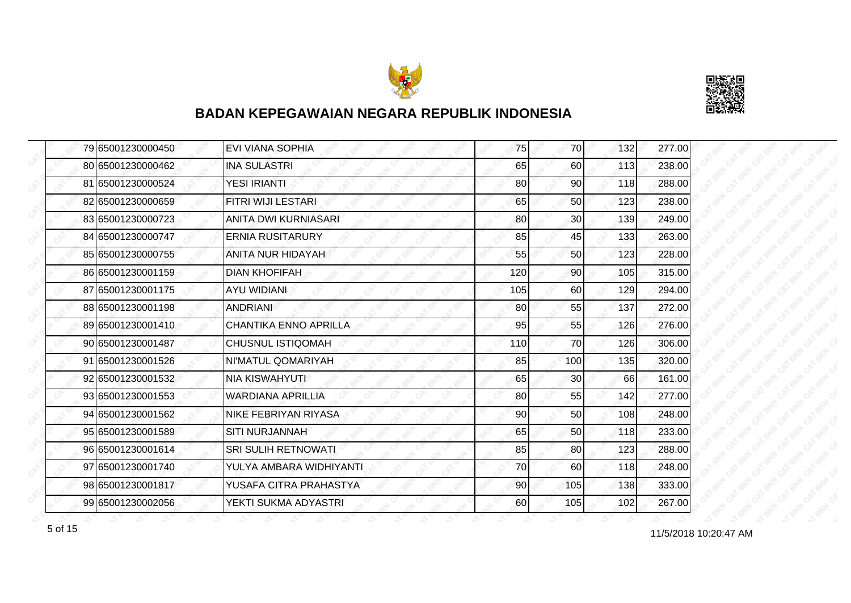



| 79 65001230000450 | <b>EVI VIANA SOPHIA</b>      | 75              | 70              | 132 | 277.00 |
|-------------------|------------------------------|-----------------|-----------------|-----|--------|
| 80 65001230000462 | <b>INA SULASTRI</b>          | 65              | 60              | 113 | 238.00 |
| 81 65001230000524 | YESI IRIANTI                 | 80              | 90 <sub>1</sub> | 118 | 288.00 |
| 82 65001230000659 | FITRI WIJI LESTARI           | 65              | 50              | 123 | 238.00 |
| 83 65001230000723 | <b>ANITA DWI KURNIASARI</b>  | 80              | 30              | 139 | 249.00 |
| 84 65001230000747 | <b>ERNIA RUSITARURY</b>      | 85              | 45              | 133 | 263.00 |
| 85 65001230000755 | ANITA NUR HIDAYAH            | 55              | 50              | 123 | 228.00 |
| 86 65001230001159 | <b>DIAN KHOFIFAH</b>         | 120             | 90              | 105 | 315.00 |
| 87 65001230001175 | <b>AYU WIDIANI</b>           | 105             | 60              | 129 | 294.00 |
| 88 65001230001198 | <b>ANDRIANI</b>              | 80              | 55              | 137 | 272.00 |
| 89 65001230001410 | <b>CHANTIKA ENNO APRILLA</b> | 95              | 55              | 126 | 276.00 |
| 90 65001230001487 | <b>CHUSNUL ISTIQOMAH</b>     | 110             | 70              | 126 | 306.00 |
| 91 65001230001526 | NI'MATUL QOMARIYAH           | 85              | 100             | 135 | 320.00 |
| 92 65001230001532 | <b>NIA KISWAHYUTI</b>        | 65              | 30              | 66  | 161.00 |
| 93 65001230001553 | <b>WARDIANA APRILLIA</b>     | 80              | 55              | 142 | 277.00 |
| 94 65001230001562 | <b>NIKE FEBRIYAN RIYASA</b>  | 90              | 50              | 108 | 248.00 |
| 95 65001230001589 | <b>SITI NURJANNAH</b>        | 65              | 50              | 118 | 233.00 |
| 96 65001230001614 | <b>SRI SULIH RETNOWATI</b>   | 85              | 80              | 123 | 288.00 |
| 97 65001230001740 | YULYA AMBARA WIDHIYANTI      | 70              | 60              | 118 | 248.00 |
| 98 65001230001817 | YUSAFA CITRA PRAHASTYA       | 90 <sub>0</sub> | 105             | 138 | 333.00 |
| 99 65001230002056 | YEKTI SUKMA ADYASTRI         | 60              | 105             | 102 | 267.00 |

11/5/2018 10:20:47 AM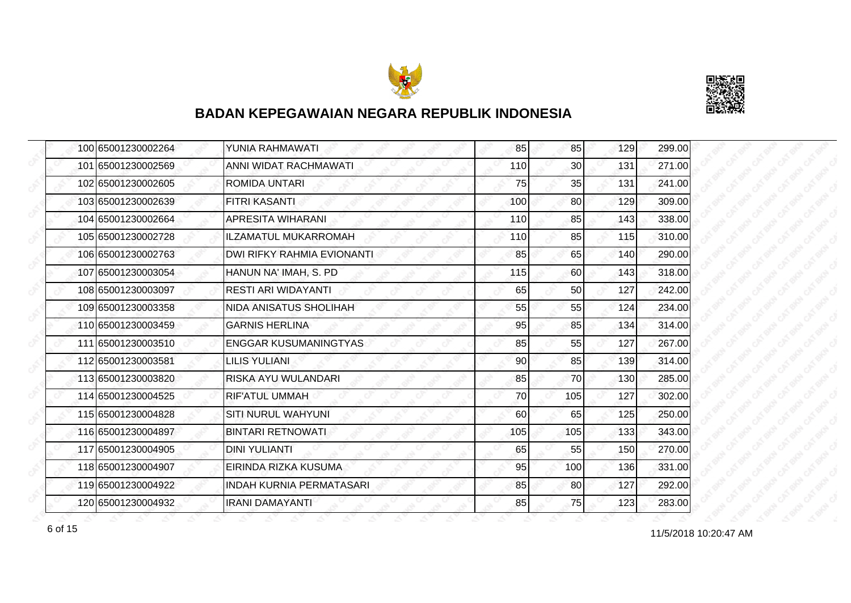



| 100 65001230002264 | YUNIA RAHMAWATI                 | 85  | 85              | 129 | 299.00 |
|--------------------|---------------------------------|-----|-----------------|-----|--------|
| 101 65001230002569 | ANNI WIDAT RACHMAWATI           | 110 | 30 <sub>1</sub> | 131 | 271.00 |
| 102 65001230002605 | ROMIDA UNTARI                   | 75  | 35              | 131 | 241.00 |
| 103 65001230002639 | <b>FITRI KASANTI</b>            | 100 | 80              | 129 | 309.00 |
| 104 65001230002664 | <b>APRESITA WIHARANI</b>        | 110 | 85              | 143 | 338.00 |
| 105 65001230002728 | <b>ILZAMATUL MUKARROMAH</b>     | 110 | 85              | 115 | 310.00 |
| 106 65001230002763 | DWI RIFKY RAHMIA EVIONANTI      | 85  | 65              | 140 | 290.00 |
| 107 65001230003054 | HANUN NA' IMAH, S. PD           | 115 | 60              | 143 | 318.00 |
| 108 65001230003097 | <b>RESTI ARI WIDAYANTI</b>      | 65  | 50              | 127 | 242.00 |
| 109 65001230003358 | <b>NIDA ANISATUS SHOLIHAH</b>   | 55  | 55              | 124 | 234.00 |
| 110 65001230003459 | <b>GARNIS HERLINA</b>           | 95  | 85              | 134 | 314.00 |
| 111 65001230003510 | <b>ENGGAR KUSUMANINGTYAS</b>    | 85  | 55              | 127 | 267.00 |
| 112 65001230003581 | <b>LILIS YULIANI</b>            | 90  | 85              | 139 | 314.00 |
| 113 65001230003820 | RISKA AYU WULANDARI             | 85  | 70              | 130 | 285.00 |
| 114 65001230004525 | RIF'ATUL UMMAH                  | 70  | 105             | 127 | 302.00 |
| 115 65001230004828 | <b>SITI NURUL WAHYUNI</b>       | 60  | 65              | 125 | 250.00 |
| 116 65001230004897 | <b>BINTARI RETNOWATI</b>        | 105 | 105             | 133 | 343.00 |
| 117 65001230004905 | <b>DINI YULIANTI</b>            | 65  | 55              | 150 | 270.00 |
| 118 65001230004907 | EIRINDA RIZKA KUSUMA            | 95  | 100             | 136 | 331.00 |
| 119 65001230004922 | <b>INDAH KURNIA PERMATASARI</b> | 85  | 80              | 127 | 292.00 |
| 120 65001230004932 | <b>IRANI DAMAYANTI</b>          | 85  | 75              | 123 | 283.00 |

11/5/2018 10:20:47 AM 6 of 15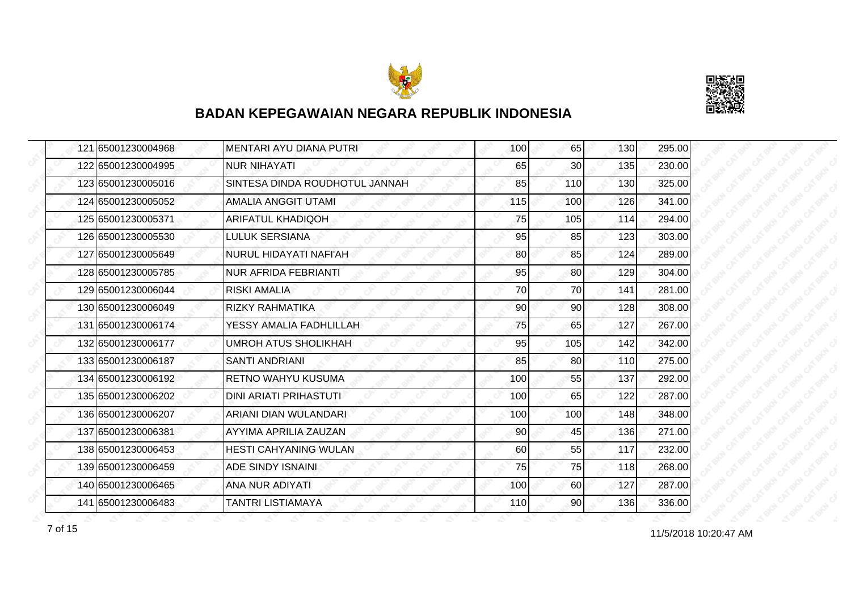



| 121 65001230004968 | <b>MENTARI AYU DIANA PUTRI</b> | 100 | 65        | 130 | 295.00 |
|--------------------|--------------------------------|-----|-----------|-----|--------|
| 122 65001230004995 | <b>NUR NIHAYATI</b>            | 65  | 30        | 135 | 230.00 |
| 123165001230005016 | SINTESA DINDA ROUDHOTUL JANNAH | 85  | 110       | 130 | 325.00 |
| 124 65001230005052 | <b>AMALIA ANGGIT UTAMI</b>     | 115 | 100       | 126 | 341.00 |
| 125 65001230005371 | <b>ARIFATUL KHADIQOH</b>       | 75  | 105       | 114 | 294.00 |
| 126 65001230005530 | <b>LULUK SERSIANA</b>          | 95  | 85        | 123 | 303.00 |
| 127 65001230005649 | NURUL HIDAYATI NAFI'AH         | 80  | 85        | 124 | 289.00 |
| 128 65001230005785 | NUR AFRIDA FEBRIANTI           | 95  | 80        | 129 | 304.00 |
| 129 65001230006044 | RISKI AMALIA                   | 70  | 70        | 141 | 281.00 |
| 130 65001230006049 | <b>RIZKY RAHMATIKA</b>         | 90  | 90        | 128 | 308.00 |
| 131 65001230006174 | YESSY AMALIA FADHLILLAH        | 75  | 65        | 127 | 267.00 |
| 132 65001230006177 | <b>UMROH ATUS SHOLIKHAH</b>    | 95  | 105       | 142 | 342.00 |
| 133 65001230006187 | <b>SANTI ANDRIANI</b>          | 85  | 80        | 110 | 275.00 |
| 134 65001230006192 | RETNO WAHYU KUSUMA             | 100 | 55        | 137 | 292.00 |
| 135 65001230006202 | <b>DINI ARIATI PRIHASTUTI</b>  | 100 | 65        | 122 | 287.00 |
| 136 65001230006207 | ARIANI DIAN WULANDARI          | 100 | 100       | 148 | 348.00 |
| 137 65001230006381 | AYYIMA APRILIA ZAUZAN          | 90  | 45        | 136 | 271.00 |
| 138 65001230006453 | <b>HESTI CAHYANING WULAN</b>   | 60  | 55        | 117 | 232.00 |
| 139 65001230006459 | ADE SINDY ISNAINI              | 75  | 75        | 118 | 268.00 |
| 140 65001230006465 | ANA NUR ADIYATI                | 100 | <b>60</b> | 127 | 287.00 |
| 141 65001230006483 | <b>TANTRI LISTIAMAYA</b>       | 110 | 90        | 136 | 336.00 |

11/5/2018 10:20:47 AM 7 of 15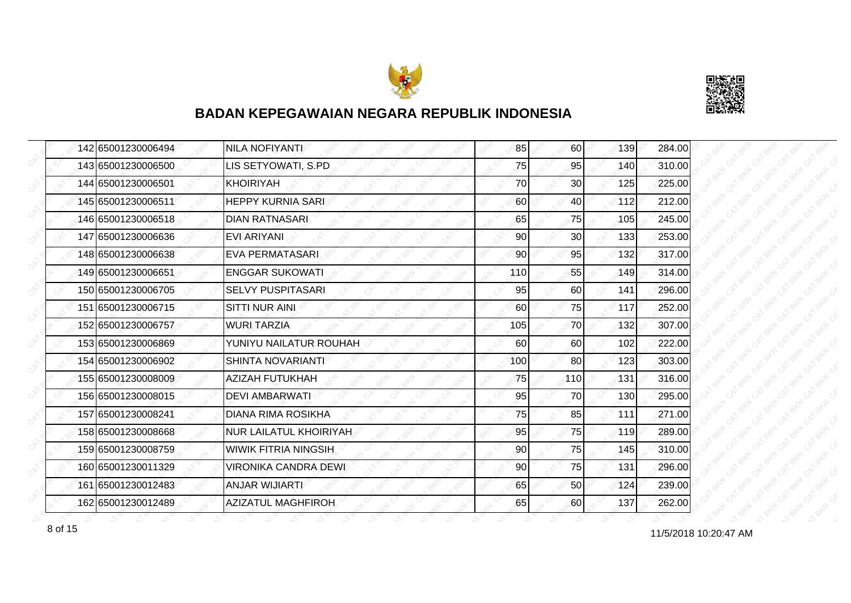



| 142 65001230006494 | <b>NILA NOFIYANTI</b>         | 85  | 60  | 139 | 284.00 |
|--------------------|-------------------------------|-----|-----|-----|--------|
| 143 65001230006500 | LIS SETYOWATI, S.PD           | 75  | 95  | 140 | 310.00 |
| 144 65001230006501 | <b>KHOIRIYAH</b>              | 70  | 30  | 125 | 225.00 |
| 145 65001230006511 | <b>HEPPY KURNIA SARI</b>      | 60  | 40  | 112 | 212.00 |
| 146 65001230006518 | <b>DIAN RATNASARI</b>         | 65  | 75  | 105 | 245.00 |
| 147 65001230006636 | <b>EVI ARIYANI</b>            | 90  | 30  | 133 | 253.00 |
| 148 65001230006638 | <b>EVA PERMATASARI</b>        | 90  | 95  | 132 | 317.00 |
| 149 65001230006651 | <b>ENGGAR SUKOWATI</b>        | 110 | 55  | 149 | 314.00 |
| 150 65001230006705 | <b>SELVY PUSPITASARI</b>      | 95  | 60  | 141 | 296.00 |
| 151 65001230006715 | <b>SITTI NUR AINI</b>         | 60  | 75  | 117 | 252.00 |
| 152 65001230006757 | <b>WURI TARZIA</b>            | 105 | 70  | 132 | 307.00 |
| 153 65001230006869 | YUNIYU NAILATUR ROUHAH        | 60  | 60  | 102 | 222.00 |
| 154 65001230006902 | <b>SHINTA NOVARIANTI</b>      | 100 | 80  | 123 | 303.00 |
| 155 65001230008009 | AZIZAH FUTUKHAH               | 75  | 110 | 131 | 316.00 |
| 156 65001230008015 | <b>DEVI AMBARWATI</b>         | 95  | 70  | 130 | 295.00 |
| 157 65001230008241 | <b>DIANA RIMA ROSIKHA</b>     | 75  | 85  | 111 | 271.00 |
| 158 65001230008668 | <b>NUR LAILATUL KHOIRIYAH</b> | 95  | 75  | 119 | 289.00 |
| 159 65001230008759 | <b>WIWIK FITRIA NINGSIH</b>   | 90  | 75  | 145 | 310.00 |
| 160 65001230011329 | VIRONIKA CANDRA DEWI          | 90  | 75  | 131 | 296.00 |
| 161 65001230012483 | <b>ANJAR WIJIARTI</b>         | 65  | 50  | 124 | 239.00 |
| 162 65001230012489 | <b>AZIZATUL MAGHFIROH</b>     | 65  | 60  | 137 | 262.00 |

11/5/2018 10:20:47 AM 8 of 15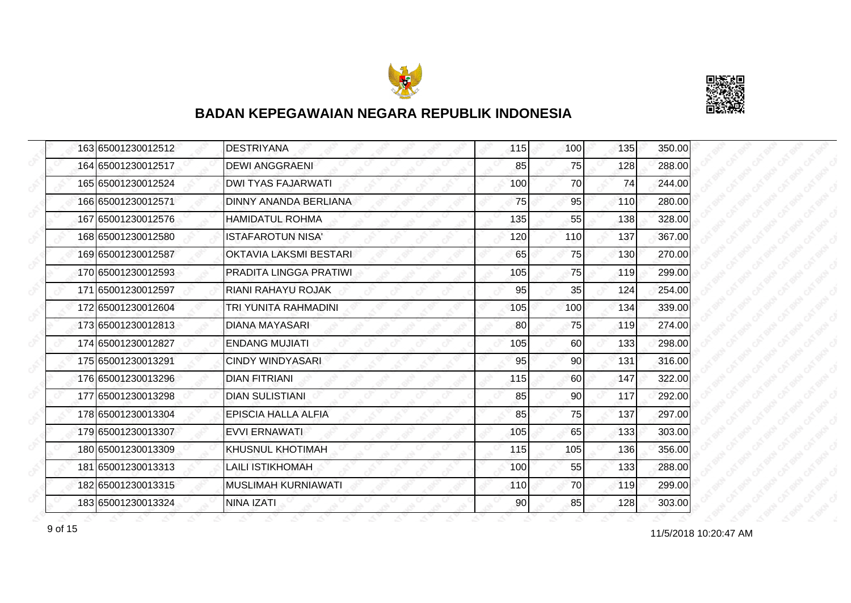



| 163 65001230012512 | <b>DESTRIYANA</b>          | 115 | 100 <sub>l</sub> | 135 | 350.00 |
|--------------------|----------------------------|-----|------------------|-----|--------|
| 164 65001230012517 | <b>DEWI ANGGRAENI</b>      | 85  | 75               | 128 | 288.00 |
| 165 65001230012524 | <b>DWI TYAS FAJARWATI</b>  | 100 | 70               | 74  | 244.00 |
| 166 65001230012571 | DINNY ANANDA BERLIANA      | 75  | 95               | 110 | 280.00 |
| 167 65001230012576 | <b>HAMIDATUL ROHMA</b>     | 135 | 55               | 138 | 328.00 |
| 168 65001230012580 | <b>ISTAFAROTUN NISA'</b>   | 120 | 110              | 137 | 367.00 |
| 169 65001230012587 | OKTAVIA LAKSMI BESTARI     | 65  | 75               | 130 | 270.00 |
| 170 65001230012593 | PRADITA LINGGA PRATIWI     | 105 | 75               | 119 | 299.00 |
| 171 65001230012597 | RIANI RAHAYU ROJAK         | 95  | 35               | 124 | 254.00 |
| 172 65001230012604 | TRI YUNITA RAHMADINI       | 105 | 100              | 134 | 339.00 |
| 173 65001230012813 | <b>DIANA MAYASARI</b>      | 80  | 75               | 119 | 274.00 |
| 174 65001230012827 | <b>ENDANG MUJIATI</b>      | 105 | 60               | 133 | 298.00 |
| 175 65001230013291 | <b>CINDY WINDYASARI</b>    | 95  | 90               | 131 | 316.00 |
| 176 65001230013296 | <b>DIAN FITRIANI</b>       | 115 | 60               | 147 | 322.00 |
| 177 65001230013298 | <b>DIAN SULISTIANI</b>     | 85  | 90               | 117 | 292.00 |
| 178 65001230013304 | <b>EPISCIA HALLA ALFIA</b> | 85  | 75               | 137 | 297.00 |
| 179 65001230013307 | <b>EVVI ERNAWATI</b>       | 105 | 65               | 133 | 303.00 |
| 180 65001230013309 | <b>KHUSNUL KHOTIMAH</b>    | 115 | 105              | 136 | 356.00 |
| 181 65001230013313 | <b>LAILI ISTIKHOMAH</b>    | 100 | 55               | 133 | 288.00 |
| 182 65001230013315 | <b>MUSLIMAH KURNIAWATI</b> | 110 | 70               | 119 | 299.00 |
| 183 65001230013324 | <b>NINA IZATI</b>          | 90  | 85               | 128 | 303.00 |

11/5/2018 10:20:47 AM 9 of 15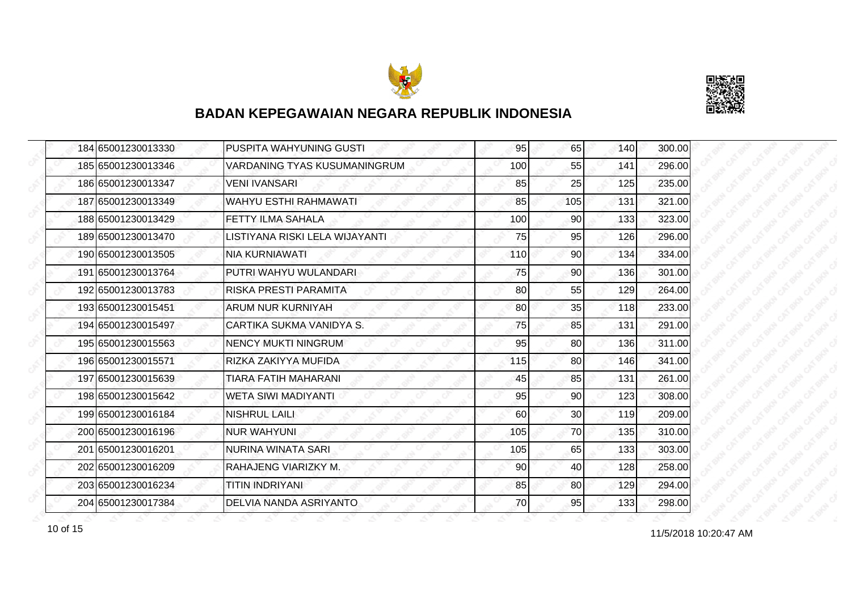



| 184 65001230013330 | PUSPITA WAHYUNING GUSTI        | 95  | 65              | 140 | 300.00 |
|--------------------|--------------------------------|-----|-----------------|-----|--------|
| 185 65001230013346 | VARDANING TYAS KUSUMANINGRUM   | 100 | 55              | 141 | 296.00 |
| 186 65001230013347 | <b>VENI IVANSARI</b>           | 85  | 25              | 125 | 235.00 |
| 187 65001230013349 | <b>WAHYU ESTHI RAHMAWATI</b>   | 85  | 105             | 131 | 321.00 |
| 188 65001230013429 | <b>FETTY ILMA SAHALA</b>       | 100 | 90              | 133 | 323.00 |
| 189 65001230013470 | LISTIYANA RISKI LELA WIJAYANTI | 75  | 95              | 126 | 296.00 |
| 190 65001230013505 | NIA KURNIAWATI                 | 110 | 90 <sub>0</sub> | 134 | 334.00 |
| 191 65001230013764 | PUTRI WAHYU WULANDARI          | 75  | 90              | 136 | 301.00 |
| 192 65001230013783 | RISKA PRESTI PARAMITA          | 80  | 55              | 129 | 264.00 |
| 193 65001230015451 | <b>ARUM NUR KURNIYAH</b>       | 80  | 35              | 118 | 233.00 |
| 194 65001230015497 | CARTIKA SUKMA VANIDYA S.       | 75  | 85              | 131 | 291.00 |
| 195 65001230015563 | <b>NENCY MUKTI NINGRUM</b>     | 95  | 80              | 136 | 311.00 |
| 196 65001230015571 | RIZKA ZAKIYYA MUFIDA           | 115 | 80              | 146 | 341.00 |
| 197 65001230015639 | TIARA FATIH MAHARANI           | 45  | 85              | 131 | 261.00 |
| 198 65001230015642 | <b>WETA SIWI MADIYANTI</b>     | 95  | 90              | 123 | 308.00 |
| 199 65001230016184 | <b>NISHRUL LAILI</b>           | 60  | 30 <sup>1</sup> | 119 | 209.00 |
| 200 65001230016196 | <b>NUR WAHYUNI</b>             | 105 | 70              | 135 | 310.00 |
| 201 65001230016201 | NURINA WINATA SARI             | 105 | 65              | 133 | 303.00 |
| 202 65001230016209 | RAHAJENG VIARIZKY M.           | 90  | 40              | 128 | 258.00 |
| 203 65001230016234 | TITIN INDRIYANI                | 85  | 80              | 129 | 294.00 |
| 204 65001230017384 | DELVIA NANDA ASRIYANTO         | 70  | 95              | 133 | 298.00 |

11/5/2018 10:20:47 AM 10 of 15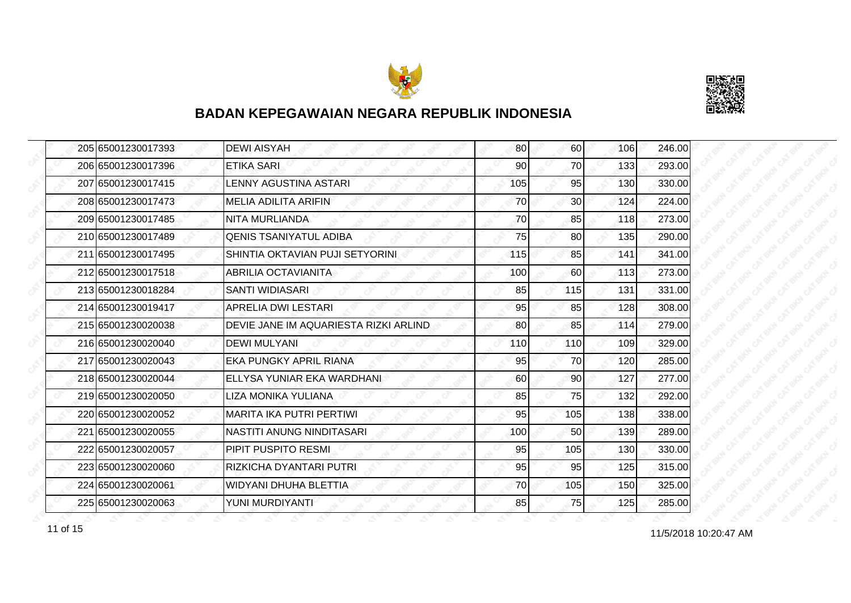



| 205 65001230017393 | <b>DEWI AISYAH</b>                    | 80  | <b>60</b>       | 106 | 246.00 |
|--------------------|---------------------------------------|-----|-----------------|-----|--------|
| 206 65001230017396 | ETIKA SARI                            | 90  | 70              | 133 | 293.00 |
| 207165001230017415 | LENNY AGUSTINA ASTARI                 | 105 | 95              | 130 | 330.00 |
| 208 65001230017473 | <b>MELIA ADILITA ARIFIN</b>           | 70  | 30 <sub>1</sub> | 124 | 224.00 |
| 209 65001230017485 | NITA MURLIANDA                        | 70  | 85              | 118 | 273.00 |
| 210 65001230017489 | <b>QENIS TSANIYATUL ADIBA</b>         | 75  | 80              | 135 | 290.00 |
| 211 65001230017495 | SHINTIA OKTAVIAN PUJI SETYORINI       | 115 | 85              | 141 | 341.00 |
| 212 65001230017518 | ABRILIA OCTAVIANITA                   | 100 | 60I             | 113 | 273.00 |
| 213 65001230018284 | SANTI WIDIASARI                       | 85  | 115             | 131 | 331.00 |
| 214 65001230019417 | APRELIA DWI LESTARI                   | 95  | 85              | 128 | 308.00 |
| 215 65001230020038 | DEVIE JANE IM AQUARIESTA RIZKI ARLIND | 80  | 85              | 114 | 279.00 |
| 216165001230020040 | <b>DEWI MULYANI</b>                   | 110 | 110             | 109 | 329.00 |
| 217 65001230020043 | <b>EKA PUNGKY APRIL RIANA</b>         | 95  | 70              | 120 | 285.00 |
| 218 65001230020044 | ELLYSA YUNIAR EKA WARDHANI            | 60  | 90              | 127 | 277.00 |
| 219 65001230020050 | LIZA MONIKA YULIANA                   | 85  | 75              | 132 | 292.00 |
| 220 65001230020052 | MARITA IKA PUTRI PERTIWI              | 95  | 105             | 138 | 338.00 |
| 221 65001230020055 | NASTITI ANUNG NINDITASARI             | 100 | 50              | 139 | 289.00 |
| 222 65001230020057 | PIPIT PUSPITO RESMI                   | 95  | 105             | 130 | 330.00 |
| 223 65001230020060 | İRIZKICHA DYANTARI PUTRI              | 95  | 95              | 125 | 315.00 |
| 224 65001230020061 | WIDYANI DHUHA BLETTIA                 | 70  | 105             | 150 | 325.00 |
| 225 65001230020063 | YUNI MURDIYANTI                       | 85  | 75              | 125 | 285.00 |

11/5/2018 10:20:47 AM 11 of 15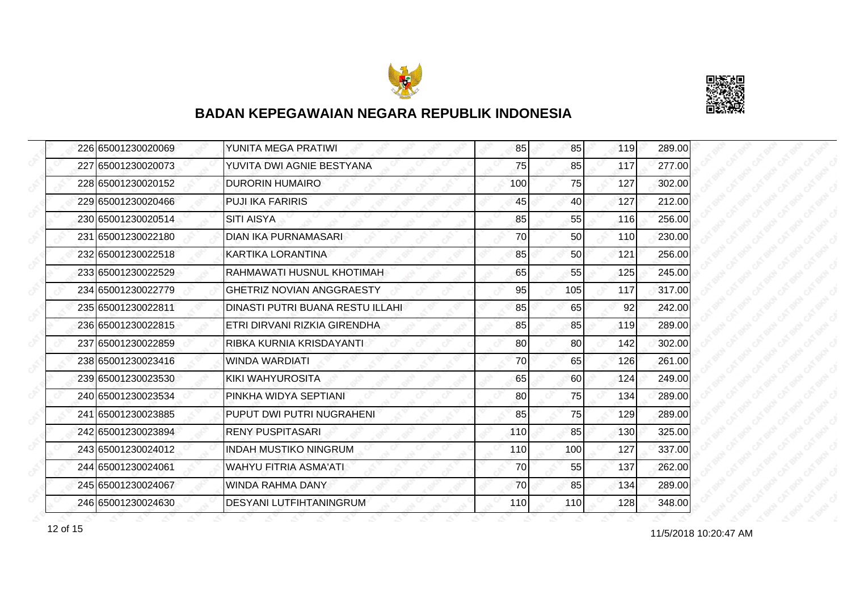



| 226 65001230020069 | YUNITA MEGA PRATIWI              | 85  | 85              | 119 | 289.00 |
|--------------------|----------------------------------|-----|-----------------|-----|--------|
| 227 65001230020073 | YUVITA DWI AGNIE BESTYANA        | 75  | 85              | 117 | 277.00 |
| 228 65001230020152 | <b>DURORIN HUMAIRO</b>           | 100 | 75              | 127 | 302.00 |
| 229 65001230020466 | <b>PUJI IKA FARIRIS</b>          | 45  | 40              | 127 | 212.00 |
| 230 65001230020514 | <b>SITI AISYA</b>                | 85  | 55              | 116 | 256.00 |
| 231 65001230022180 | <b>DIAN IKA PURNAMASARI</b>      | 70  | 50              | 110 | 230.00 |
| 232 65001230022518 | KARTIKA LORANTINA                | 85  | 50 <sub>l</sub> | 121 | 256.00 |
| 233 65001230022529 | RAHMAWATI HUSNUL KHOTIMAH        | 65  | 55              | 125 | 245.00 |
| 234 65001230022779 | <b>GHETRIZ NOVIAN ANGGRAESTY</b> | 95  | 105             | 117 | 317.00 |
| 235 65001230022811 | DINASTI PUTRI BUANA RESTU ILLAHI | 85  | 65              | 92  | 242.00 |
| 236 65001230022815 | ETRI DIRVANI RIZKIA GIRENDHA     | 85  | 85              | 119 | 289.00 |
| 237 65001230022859 | RIBKA KURNIA KRISDAYANTI         | 80  | 80              | 142 | 302.00 |
| 238 65001230023416 | WINDA WARDIATI                   | 70  | 65              | 126 | 261.00 |
| 239 65001230023530 | KIKI WAHYUROSITA                 | 65  | 60              | 124 | 249.00 |
| 240 65001230023534 | PINKHA WIDYA SEPTIANI            | 80  | 75              | 134 | 289.00 |
| 241 65001230023885 | PUPUT DWI PUTRI NUGRAHENI        | 85  | 75              | 129 | 289.00 |
| 242 65001230023894 | <b>RENY PUSPITASARI</b>          | 110 | 85              | 130 | 325.00 |
| 243 65001230024012 | <b>INDAH MUSTIKO NINGRUM</b>     | 110 | 100             | 127 | 337.00 |
| 244 65001230024061 | WAHYU FITRIA ASMA'ATI            | 70  | 55              | 137 | 262.00 |
| 245 65001230024067 | WINDA RAHMA DANY                 | 70  | 85              | 134 | 289.00 |
| 246 65001230024630 | <b>DESYANI LUTFIHTANINGRUM</b>   | 110 | 110             | 128 | 348.00 |

11/5/2018 10:20:47 AM 12 of 15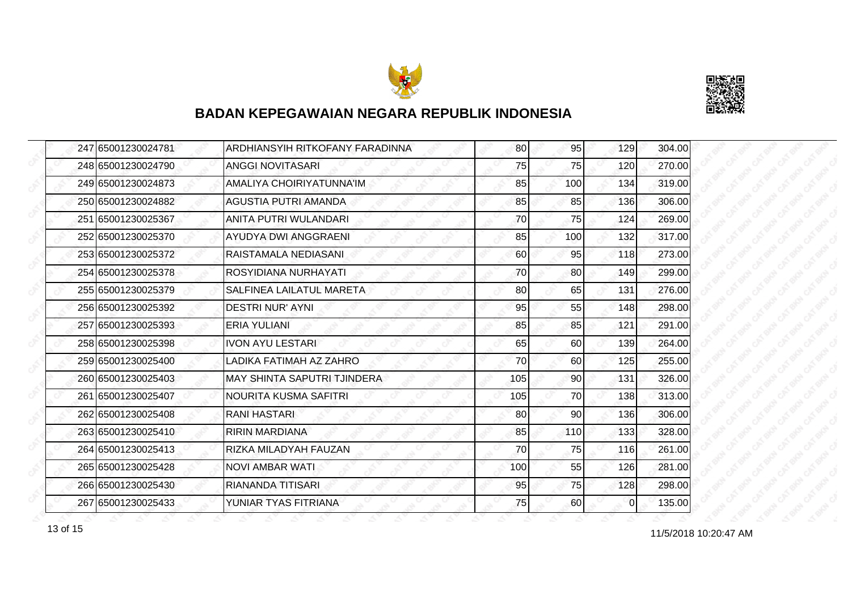



| 247 65001230024781 | <b>ARDHIANSYIH RITKOFANY FARADINNA</b> | 80  | 95        | 129      | 304.00 |
|--------------------|----------------------------------------|-----|-----------|----------|--------|
| 248 65001230024790 | <b>ANGGI NOVITASARI</b>                | 75  | 75        | 120      | 270.00 |
| 249 65001230024873 | AMALIYA CHOIRIYATUNNA'IM               | 85  | 100       | 134      | 319.00 |
| 250 65001230024882 | <b>AGUSTIA PUTRI AMANDA</b>            | 85  | 85        | 136      | 306.00 |
| 251 65001230025367 | ANITA PUTRI WULANDARI                  | 70  | <b>75</b> | 124      | 269.00 |
| 252 65001230025370 | <b>AYUDYA DWI ANGGRAENI</b>            | 85  | 100       | 132      | 317.00 |
| 253 65001230025372 | RAISTAMALA NEDIASANI                   | 60  | 95        | 118      | 273.00 |
| 254 65001230025378 | ROSYIDIANA NURHAYATI                   | 70  | 80        | 149      | 299.00 |
| 255 65001230025379 | SALFINEA LAILATUL MARETA               | 80  | 65        | 131      | 276.00 |
| 256 65001230025392 | <b>DESTRI NUR' AYNI</b>                | 95  | 55        | 148      | 298.00 |
| 257 65001230025393 | ERIA YULIANI                           | 85  | 85        | 121      | 291.00 |
| 258 65001230025398 | <b>IVON AYU LESTARI</b>                | 65  | 60        | 139      | 264.00 |
| 259 65001230025400 | LADIKA FATIMAH AZ ZAHRO                | 70  | 60        | 125      | 255.00 |
| 260 65001230025403 | MAY SHINTA SAPUTRI TJINDERA            | 105 | 90        | 131      | 326.00 |
| 261 65001230025407 | NOURITA KUSMA SAFITRI                  | 105 | 70        | 138      | 313.00 |
| 262 65001230025408 | <b>RANI HASTARI</b>                    | 80  | 90        | 136      | 306.00 |
| 263 65001230025410 | <b>RIRIN MARDIANA</b>                  | 85  | 110       | 133      | 328.00 |
| 264 65001230025413 | RIZKA MILADYAH FAUZAN                  | 70  | 75        | 116      | 261.00 |
| 265 65001230025428 | <b>NOVI AMBAR WATI</b>                 | 100 | 55        | 126      | 281.00 |
| 266 65001230025430 | RIANANDA TITISARI                      | 95  | 75        | 128      | 298.00 |
| 267 65001230025433 | YUNIAR TYAS FITRIANA                   | 75  | 60        | $\Omega$ | 135.00 |

11/5/2018 10:20:47 AM 13 of 15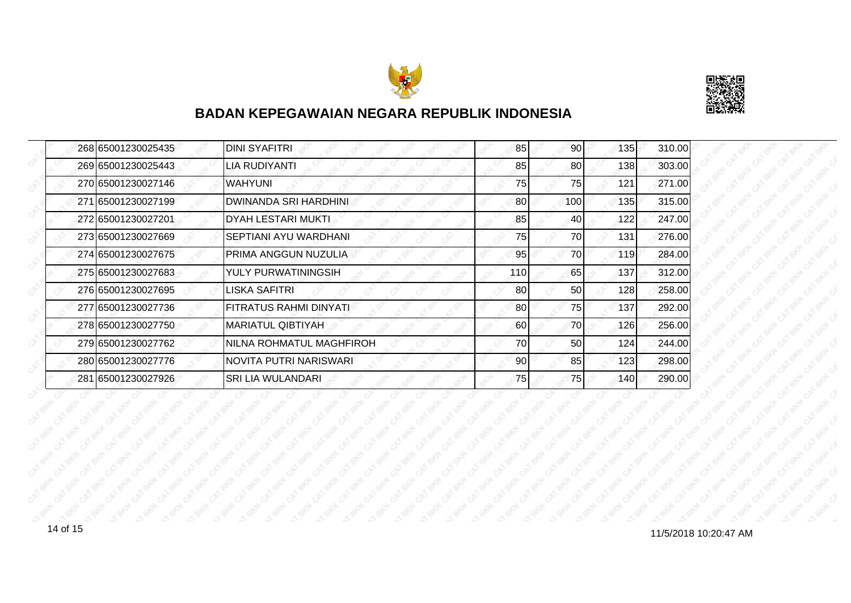



| 268 65001230025435 | <b>DINI SYAFITRI</b>          | 85              | 90  | 135 | 310.00 |
|--------------------|-------------------------------|-----------------|-----|-----|--------|
| 269165001230025443 | LIA RUDIYANTI                 | 85              | 80  | 138 | 303.00 |
| 270 65001230027146 | <b>WAHYUNI</b>                | 75              | 75  | 121 | 271.00 |
| 271 65001230027199 | <b>DWINANDA SRI HARDHINI</b>  | 80              | 100 | 135 | 315.00 |
| 272 65001230027201 | <b>DYAH LESTARI MUKTI</b>     | 85              | 40  | 122 | 247.00 |
| 273 65001230027669 | SEPTIANI AYU WARDHANI         | 75              | 70  | 131 | 276.00 |
| 274165001230027675 | PRIMA ANGGUN NUZULIA          | 95              | 70  | 119 | 284.00 |
| 275165001230027683 | YULY PURWATININGSIH           | 110 <b> </b>    | 65  | 137 | 312.00 |
| 276 65001230027695 | LISKA SAFITRI                 | 80              | 50  | 128 | 258.00 |
| 277 65001230027736 | <b>FITRATUS RAHMI DINYATI</b> | 80              | 75  | 137 | 292.00 |
| 278165001230027750 | MARIATUL QIBTIYAH             | 60              | 70  | 126 | 256.00 |
| 279165001230027762 | NILNA ROHMATUL MAGHFIROH      | 70              | 50  | 124 | 244.00 |
| 280 65001230027776 | NOVITA PUTRI NARISWARI        | 90 <sub>l</sub> | 85  | 123 | 298.00 |
| 281 65001230027926 | SRI LIA WULANDARI             | 75              | 75  | 140 | 290.00 |